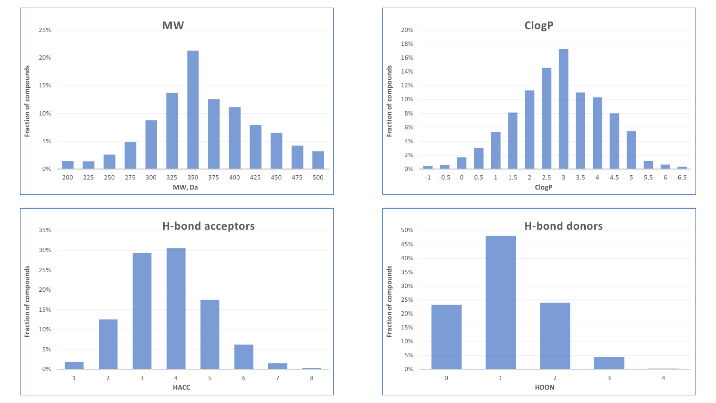